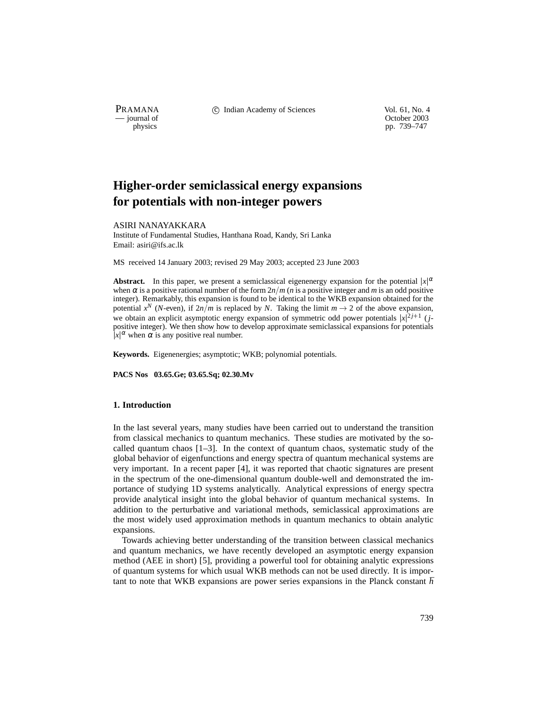PRAMANA <sup>comp</sup> computed contained in the Indian Academy of Sciences Vol. 61, No. 4<br>
computed vol. 61, No. 4<br>
computed vol. 61, No. 4

physics<br>
physics<br>
pp. 739–747<br>
pp. 739–747 pp. 739–747

# **Higher-order semiclassical energy expansions for potentials with non-integer powers**

ASIRI NANAYAKKARA

Institute of Fundamental Studies, Hanthana Road, Kandy, Sri Lanka Email: asiri@ifs.ac.lk

MS received 14 January 2003; revised 29 May 2003; accepted 23 June 2003

**Abstract.** In this paper, we present a semiclassical eigenenergy expansion for the potential  $|x|^\alpha$ when  $\alpha$  is a positive rational number of the form  $2n/m$  (*n* is a positive integer and *m* is an odd positive integer). Remarkably, this expansion is found to be identical to the WKB expansion obtained for the potential  $x^N$  (*N*-even), if  $2n/m$  is replaced by *N*. Taking the limit  $m \to 2$  of the above expansion, we obtain an explicit asymptotic energy expansion of symmetric odd power potentials  $|x|^{2j+1}$  (*j*positive integer). We then show how to develop approximate semiclassical expansions for potentials  $|x|^\alpha$  when  $\alpha$  is any positive real number.

**Keywords.** Eigenenergies; asymptotic; WKB; polynomial potentials.

**PACS Nos 03.65.Ge; 03.65.Sq; 02.30.Mv**

#### **1. Introduction**

In the last several years, many studies have been carried out to understand the transition from classical mechanics to quantum mechanics. These studies are motivated by the socalled quantum chaos  $[1-3]$ . In the context of quantum chaos, systematic study of the global behavior of eigenfunctions and energy spectra of quantum mechanical systems are very important. In a recent paper [4], it was reported that chaotic signatures are present in the spectrum of the one-dimensional quantum double-well and demonstrated the importance of studying 1D systems analytically. Analytical expressions of energy spectra provide analytical insight into the global behavior of quantum mechanical systems. In addition to the perturbative and variational methods, semiclassical approximations are the most widely used approximation methods in quantum mechanics to obtain analytic expansions.

Towards achieving better understanding of the transition between classical mechanics and quantum mechanics, we have recently developed an asymptotic energy expansion method (AEE in short) [5], providing a powerful tool for obtaining analytic expressions of quantum systems for which usual WKB methods can not be used directly. It is important to note that WKB expansions are power series expansions in the Planck constant  $\hbar$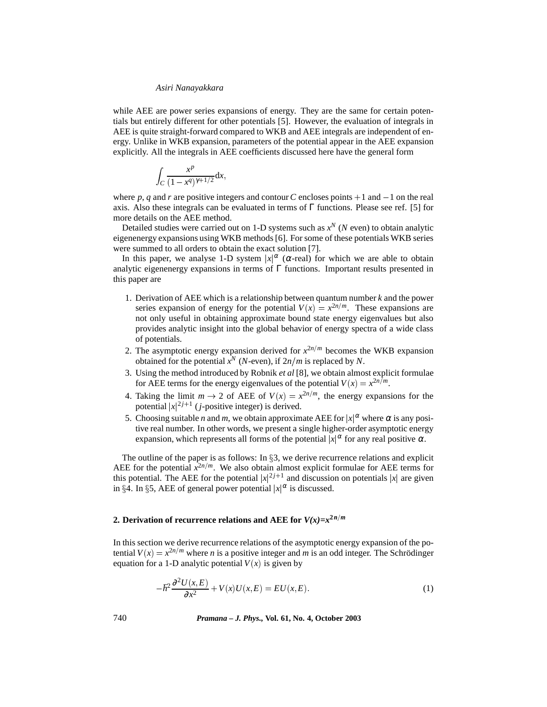while AEE are power series expansions of energy. They are the same for certain potentials but entirely different for other potentials [5]. However, the evaluation of integrals in AEE is quite straight-forward compared to WKB and AEE integrals are independent of energy. Unlike in WKB expansion, parameters of the potential appear in the AEE expansion explicitly. All the integrals in AEE coefficients discussed here have the general form

$$
\int_C \frac{x^p}{(1-x^q)^{\gamma+1/2}} \mathrm{d} x,
$$

where p, q and r are positive integers and contour C encloses points  $+1$  and  $-1$  on the real axis. Also these integrals can be evaluated in terms of  $\Gamma$  functions. Please see ref. [5] for more details on the AEE method.

Detailed studies were carried out on 1-D systems such as  $x^N$  (*N* even) to obtain analytic eigenenergy expansions using WKB methods [6]. For some of these potentials WKB series were summed to all orders to obtain the exact solution [7].

In this paper, we analyse 1-D system  $|x|^{\alpha}$  ( $\alpha$ -real) for which we are able to obtain analytic eigenenergy expansions in terms of  $\Gamma$  functions. Important results presented in this paper are

- 1. Derivation of AEE which is a relationship between quantum number *k* and the power series expansion of energy for the potential  $V(x) = x^{2n/m}$ . These expansions are not only useful in obtaining approximate bound state energy eigenvalues but also provides analytic insight into the global behavior of energy spectra of a wide class of potentials.
- 2. The asymptotic energy expansion derived for  $x^{2n/m}$  becomes the WKB expansion obtained for the potential  $x^N$  (*N*-even), if  $2n/m$  is replaced by *N*.
- 3. Using the method introduced by Robnik *et al* [8], we obtain almost explicit formulae for AEE terms for the energy eigenvalues of the potential  $V(x) = x^{2n/m}$ .
- 4. Taking the limit  $m \to 2$  of AEE of  $V(x) = x^{2n/m}$ , the energy expansions for the potential  $|x|^{2j+1}$  (*j*-positive integer) is derived.
- 5. Choosing suitable *n* and *m*, we obtain approximate AEE for  $|x|^\alpha$  where  $\alpha$  is any positive real number. In other words, we present a single higher-order asymptotic energy expansion, which represents all forms of the potential  $|x|^\alpha$  for any real positive  $\alpha$ .

The outline of the paper is as follows: In  $\S$ 3, we derive recurrence relations and explicit AEE for the potential  $\hat{x}^{2n/m}$ . We also obtain almost explicit formulae for AEE terms for this potential. The AEE for the potential  $|x|^{2j+1}$  and discussion on potentials  $|x|$  are given in §4. In §5, AEE of general power potential  $|x|^\alpha$  is discussed.

# **2. Derivation of recurrence relations and AEE for**  $V(x)=x^{2n/m}$

In this section we derive recurrence relations of the asymptotic energy expansion of the potential  $V(x) = x^{2n/m}$  where *n* is a positive integer and *m* is an odd integer. The Schrödinger equation for a 1-D analytic potential  $V(x)$  is given by

$$
-\hbar^2 \frac{\partial^2 U(x, E)}{\partial x^2} + V(x)U(x, E) = EU(x, E). \tag{1}
$$

740 *Pramana – J. Phys.,* **Vol. 61, No. 4, October 2003**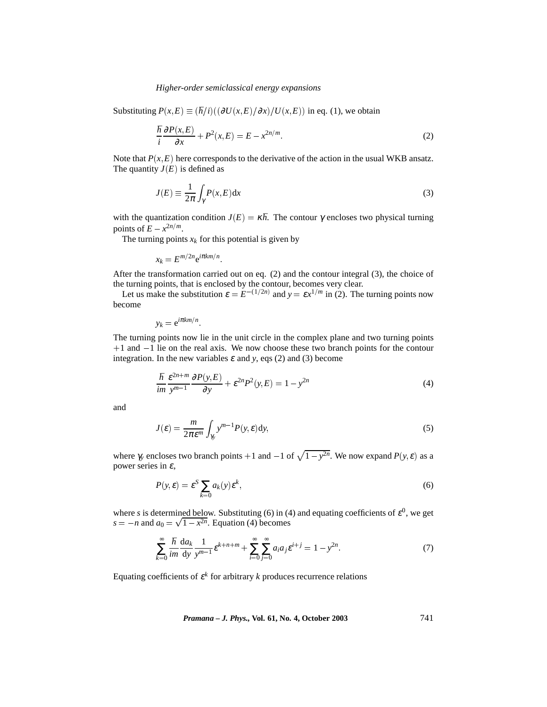#### *Higher-order semiclassical energy expansions*

Substituting  $P(x, E) \equiv (h/i)((\partial U(x, E)/\partial x)/U(x, E))$  in eq. (1), we obtain

$$
\frac{\hbar}{i}\frac{\partial P(x,E)}{\partial x} + P^2(x,E) = E - x^{2n/m}.\tag{2}
$$

Note that  $P(x, E)$  here corresponds to the derivative of the action in the usual WKB ansatz. The quantity  $J(E)$  is defined as

$$
J(E) \equiv \frac{1}{2\pi} \int_{\gamma} P(x, E) dx
$$
\n(3)

with the quantization condition  $J(E) = \kappa \hbar$ . The contour  $\gamma$  encloses two physical turning points of  $E - x^{2n/m}$ .

The turning points  $x_k$  for this potential is given by

$$
x_k = E^{m/2n} e^{i\pi k m/n}
$$

After the transformation carried out on eq. (2) and the contour integral (3), the choice of the turning points, that is enclosed by the contour, becomes very clear.

Let us make the substitution  $\varepsilon = E^{-(1/2n)}$  and  $y = \varepsilon x^{1/m}$  in (2). The turning points now become

$$
y_k = e^{i\pi k m/n}
$$

The turning points now lie in the unit circle in the complex plane and two turning points  $+1$  and  $-1$  lie on the real axis. We now choose these two branch points for the contour integration. In the new variables  $\varepsilon$  and  $y$ , eqs (2) and (3) become

$$
\frac{\hbar}{im} \frac{\varepsilon^{2n+m}}{y^{m-1}} \frac{\partial P(y, E)}{\partial y} + \varepsilon^{2n} P^2(y, E) = 1 - y^{2n}
$$
\n(4)

and

$$
J(\varepsilon) = \frac{m}{2\pi\varepsilon^m} \int_{\gamma_y} y^{m-1} P(y, \varepsilon) dy,
$$
 (5)

where  $\gamma_y$  encloses two branch points  $+1$  and  $-1$  of  $\sqrt{1-y^{2n}}$ . We now expand  $P(y, \varepsilon)$  as a power series in  $\varepsilon$ ,

$$
P(y,\varepsilon) = \varepsilon^S \sum_{k=0} a_k(y) \varepsilon^k, \tag{6}
$$

where *s* is determined below. Substituting (6) in (4) and equating coefficients of  $\varepsilon^0$ , we get  $s = -n$  and  $a_0 = \sqrt{1 - x^{2n}}$ . Equation (4) becomes

$$
\sum_{k=0}^{\infty} \frac{\hbar}{im} \frac{da_k}{dy} \frac{1}{y^{m-1}} \varepsilon^{k+n+m} + \sum_{i=0}^{\infty} \sum_{j=0}^{\infty} a_i a_j \varepsilon^{i+j} = 1 - y^{2n}.
$$
 (7)

Equating coefficients of  $\varepsilon^{k}$  for arbitrary *k* produces recurrence relations

*Pramana – J. Phys.,* **Vol. 61, No. 4, October 2003** 741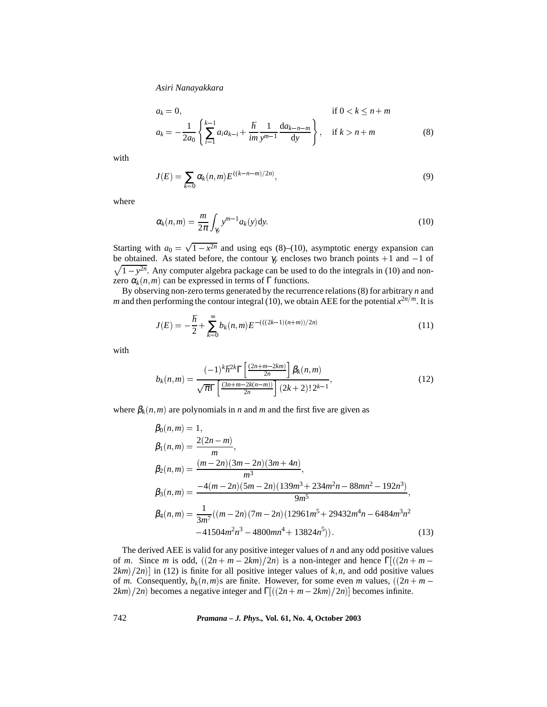$$
a_k = 0, \qquad \text{if } 0 < k \le n + m
$$
\n
$$
a_k = -\frac{1}{2a_0} \left\{ \sum_{i=1}^{k-1} a_i a_{k-i} + \frac{\hbar}{im} \frac{1}{y^{m-1}} \frac{da_{k-n-m}}{dy} \right\}, \quad \text{if } k > n + m \tag{8}
$$

with

$$
J(E) = \sum_{k=0} \alpha_k(n,m) E^{((k-n-m)/2n)},
$$
\n(9)

where

$$
\alpha_k(n,m) = \frac{m}{2\pi} \int_{\gamma_y} y^{m-1} a_k(y) \mathrm{d}y. \tag{10}
$$

Starting with  $a_0 = \sqrt{1 - x^{2n}}$  and using eqs (8)–(10), asymptotic energy expansion can  $\sqrt{1 - y^{2n}}$ . Any computer algebra package can be used to do the integrals in (10) and nonbe obtained. As stated before, the contour  $\gamma$ <sub>y</sub> encloses two branch points  $+1$  and  $-1$  of zero  $\alpha_k(n,m)$  can be expressed in terms of  $\Gamma$  functions.

By observing non-zero terms generated by the recurrence relations (8) for arbitrary *n* and *m* and then performing the contour integral (10), we obtain AEE for the potential  $x^{2n/m}$ . It is

$$
J(E) = -\frac{\hbar}{2} + \sum_{k=0}^{\infty} b_k(n,m) E^{-(((2k-1)(n+m))/2n)}
$$
\n(11)

with

$$
b_k(n,m) = \frac{(-1)^k \hbar^{2k} \Gamma\left[\frac{(2n+m-2km)}{2n}\right] \beta_k(n,m)}{\sqrt{\pi} \Gamma\left[\frac{(3n+m-2k(n-m))}{2n}\right] (2k+2)! 2^{k-1}},\tag{12}
$$

where  $\beta_k(n,m)$  are polynomials in *n* and *m* and the first five are given as

$$
\beta_0(n,m) = 1,
$$
\n
$$
\beta_1(n,m) = \frac{2(2n-m)}{m},
$$
\n
$$
\beta_2(n,m) = \frac{(m-2n)(3m-2n)(3m+4n)}{m^3},
$$
\n
$$
\beta_3(n,m) = \frac{-4(m-2n)(5m-2n)(139m^3+234m^2n-88mn^2-192n^3)}{9m^5},
$$
\n
$$
\beta_4(n,m) = \frac{1}{3m^7}((m-2n)(7m-2n)(12961m^5+29432m^4n-6484m^3n^2-41504m^2n^3-4800mn^4+13824n^5)).
$$
\n(13)

The derived AEE is valid for any positive integer values of *n* and any odd positive values of *m*. Since *m* is odd,  $((2n + m - 2km)/2n)$  is a non-integer and hence  $\Gamma[(2n + m - 2km)/2n]$  $2km/2n$ ] in (12) is finite for all positive integer values of  $k, n$ , and odd positive values of *m*. Consequently,  $b_k(n,m)$  are finite. However, for some even *m* values,  $((2n + m 2km/2n$  becomes a negative integer and  $\Gamma[((2n+m-2km)/2n)]$  becomes infinite.

742 *Pramana – J. Phys.,* **Vol. 61, No. 4, October 2003**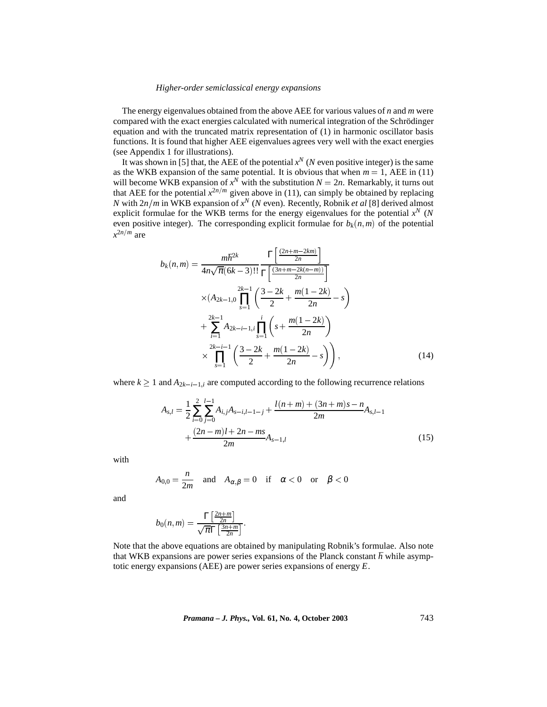#### *Higher-order semiclassical energy expansions*

The energy eigenvalues obtained from the above AEE for various values of *n* and *m* were compared with the exact energies calculated with numerical integration of the Schrödinger equation and with the truncated matrix representation of (1) in harmonic oscillator basis functions. It is found that higher AEE eigenvalues agrees very well with the exact energies (see Appendix 1 for illustrations).

It was shown in [5] that, the AEE of the potential  $x^N$  (*N* even positive integer) is the same as the WKB expansion of the same potential. It is obvious that when  $m = 1$ , AEE in (11) will become WKB expansion of  $x^N$  with the substitution  $N = 2n$ . Remarkably, it turns out that AEE for the potential  $x^{2n/m}$  given above in (11), can simply be obtained by replacing *N* with  $2n/m$  in WKB expansion of  $x^N$  (*N* even). Recently, Robnik *et al* [8] derived almost explicit formulae for the WKB terms for the energy eigenvalues for the potential  $x^N$  (*N* even positive integer). The corresponding explicit formulae for  $b_k(n,m)$  of the potential  $x^{2n/m}$  are

$$
b_k(n,m) = \frac{m\hbar^{2k}}{4n\sqrt{\pi}(6k-3)!!} \frac{\Gamma\left[\frac{(2n+m-2km)}{2n}\right]}{\Gamma\left[\frac{(3n+m-2k(n-m))}{2n}\right]}
$$

$$
\times (A_{2k-1,0} \prod_{s=1}^{2k-1} \left(\frac{3-2k}{2} + \frac{m(1-2k)}{2n} - s\right)
$$

$$
+ \sum_{i=1}^{2k-1} A_{2k-i-1,i} \prod_{s=1}^{i} \left(s + \frac{m(1-2k)}{2n}\right)
$$

$$
\times \prod_{s=1}^{2k-i-1} \left(\frac{3-2k}{2} + \frac{m(1-2k)}{2n} - s\right), \qquad (14)
$$

where  $k \geq 1$  and  $A_{2k-i-1,i}$  are computed according to the following recurrence relations

$$
A_{s,l} = \frac{1}{2} \sum_{i=0}^{2} \sum_{j=0}^{l-1} A_{i,j} A_{s-i,l-1-j} + \frac{l(n+m) + (3n+m)s - n}{2m} A_{s,l-1} + \frac{(2n-m)l + 2n - ms}{2m} A_{s-1,l}
$$
\n(15)

with

$$
A_{0,0} = \frac{n}{2m} \quad \text{and} \quad A_{\alpha,\beta} = 0 \quad \text{if} \quad \alpha < 0 \quad \text{or} \quad \beta < 0
$$

and

$$
b_0(n,m) = \frac{\Gamma\left[\frac{2n+m}{2n}\right]}{\sqrt{\pi}\Gamma\left[\frac{3n+m}{2n}\right]}.
$$

Note that the above equations are obtained by manipulating Robnik's formulae. Also note that WKB expansions are power series expansions of the Planck constant  $\hbar$  while asymptotic energy expansions (AEE) are power series expansions of energy *E*.

*Pramana – J. Phys.,* **Vol. 61, No. 4, October 2003** 743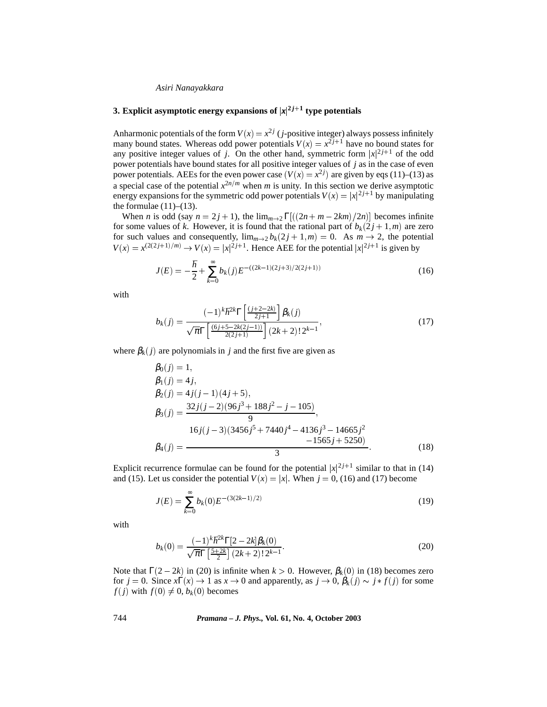## **3. Explicit asymptotic energy expansions of**  $|x|^{2j+1}$  **type potentials**

Anharmonic potentials of the form  $V(x) = x^{2j}$  (*j*-positive integer) always possess infinitely many bound states. Whereas odd power potentials  $V(x) = x^{2j+1}$  have no bound states for any positive integer values of *j*. On the other hand, symmetric form  $|x|^{2j+1}$  of the odd power potentials have bound states for all positive integer values of *j* as in the case of even power potentials. AEEs for the even power case  $(V(x) = x^{2j})$  are given by eqs (11)–(13) as a special case of the potential  $x^{2n/m}$  when *m* is unity. In this section we derive asymptotic energy expansions for the symmetric odd power potentials  $V(x) = |x|^{2j+1}$  by manipulating the formulae  $(11)–(13)$ .

When *n* is odd (say  $n = 2j + 1$ ), the  $\lim_{m\to 2} \Gamma[(2n + m - 2km)/2n]$  becomes infinite for some values of *k*. However, it is found that the rational part of  $b_k(2j+1,m)$  are zero for such values and consequently,  $\lim_{m\to 2} b_k(2j+1,m) = 0$ . As  $m \to 2$ , the potential  $V(x) = x^{(2(2j+1)/m)} \rightarrow V(x) = |x|^{2j+1}$ . Hence AEE for the potential  $|x|^{2j+1}$  is given by

$$
J(E) = -\frac{\hbar}{2} + \sum_{k=0}^{\infty} b_k(j) E^{-((2k-1)(2j+3)/2(2j+1))}
$$
(16)

with

$$
b_k(j) = \frac{(-1)^k \hbar^{2k} \Gamma\left[\frac{(j+2-2k)}{2j+1}\right] \beta_k(j)}{\sqrt{\pi} \Gamma\left[\frac{(6j+5-2k(2j-1))}{2(2j+1)}\right] (2k+2)! 2^{k-1}},\tag{17}
$$

where  $\beta_k(j)$  are polynomials in *j* and the first five are given as

$$
\beta_0(j) = 1,\n\beta_1(j) = 4j,\n\beta_2(j) = 4j(j-1)(4j+5),\n\beta_3(j) = \frac{32j(j-2)(96j^3 + 188j^2 - j - 105)}{9},\n16j(j-3)(3456j^5 + 7440j^4 - 4136j^3 - 14665j^2\n-1565j + 5250)\n(18)
$$

Explicit recurrence formulae can be found for the potential  $|x|^{2j+1}$  similar to that in (14) and (15). Let us consider the potential  $V(x) = |x|$ . When  $j = 0$ , (16) and (17) become

$$
J(E) = \sum_{k=0}^{\infty} b_k(0) E^{-(3(2k-1)/2)}
$$
 (19)

with

$$
b_k(0) = \frac{(-1)^k \hbar^{2k} \Gamma[2 - 2k] \beta_k(0)}{\sqrt{\pi} \Gamma\left[\frac{5 + 2k}{2}\right] (2k + 2)! 2^{k-1}}.
$$
\n(20)

Note that  $\Gamma(2 - 2k)$  in (20) is infinite when  $k > 0$ . However,  $\beta_k(0)$  in (18) becomes zero for  $j = 0$ . Since  $x\Gamma(x) \to 1$  as  $x \to 0$  and apparently, as  $j \to 0$ ,  $\beta_k(j) \sim j * f(j)$  for some  $f(j)$  with  $f(0) \neq 0$ ,  $b_k(0)$  becomes

744 *Pramana – J. Phys.,* **Vol. 61, No. 4, October 2003**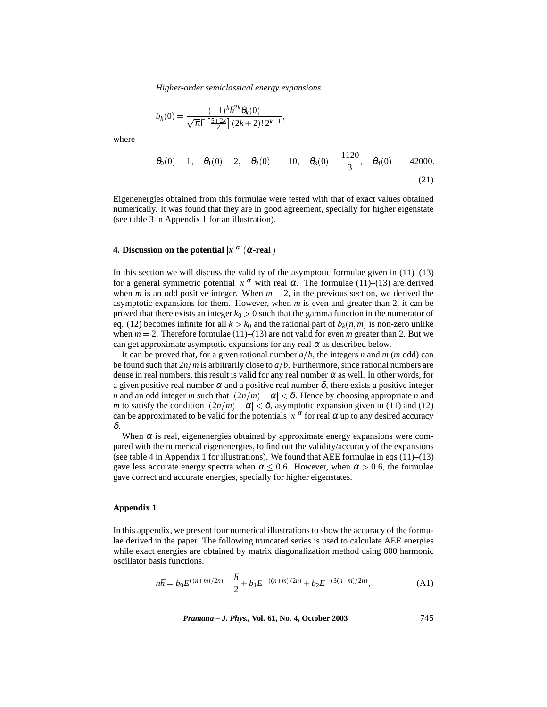*Higher-order semiclassical energy expansions*

$$
b_k(0) = \frac{(-1)^k \hbar^{2k} \theta_k(0)}{\sqrt{\pi} \Gamma\left[\frac{5+2k}{2}\right] (2k+2)! 2^{k-1}},
$$

where

$$
\theta_0(0) = 1, \quad \theta_1(0) = 2, \quad \theta_2(0) = -10, \quad \theta_3(0) = \frac{1120}{3}, \quad \theta_4(0) = -42000.
$$
\n(21)

Eigenenergies obtained from this formulae were tested with that of exact values obtained numerically. It was found that they are in good agreement, specially for higher eigenstate (see table 3 in Appendix 1 for an illustration).

#### **4. Discussion on the potential**  $|x|^\alpha$  ( $\alpha$ -real)

In this section we will discuss the validity of the asymptotic formulae given in  $(11)$ – $(13)$ for a general symmetric potential  $|x|^\alpha$  with real  $\alpha$ . The formulae (11)–(13) are derived when *m* is an odd positive integer. When  $m = 2$ , in the previous section, we derived the asymptotic expansions for them. However, when *m* is even and greater than 2, it can be proved that there exists an integer  $k_0 > 0$  such that the gamma function in the numerator of eq. (12) becomes infinite for all  $k > k_0$  and the rational part of  $b_k(n,m)$  is non-zero unlike when  $m = 2$ . Therefore formulae (11)–(13) are not valid for even m greater than 2. But we can get approximate asymptotic expansions for any real  $\alpha$  as described below.

It can be proved that, for a given rational number  $a/b$ , the integers *n* and *m* (*m* odd) can be found such that  $2n/m$  is arbitrarily close to  $a/b$ . Furthermore, since rational numbers are dense in real numbers, this result is valid for any real number  $\alpha$  as well. In other words, for a given positive real number  $\alpha$  and a positive real number  $\delta$ , there exists a positive integer *n* and an odd integer *m* such that  $|(2n/m) - \alpha| < \delta$ . Hence by choosing appropriate *n* and *m* to satisfy the condition  $|(2n/m) - \alpha| < \delta$ , asymptotic expansion given in (11) and (12) can be approximated to be valid for the potentials  $|x|^\alpha$  for real  $\alpha$  up to any desired accuracy δ.

When  $\alpha$  is real, eigenenergies obtained by approximate energy expansions were compared with the numerical eigenenergies, to find out the validity/accuracy of the expansions (see table 4 in Appendix 1 for illustrations). We found that AEE formulae in eqs  $(11)$ – $(13)$ gave less accurate energy spectra when  $\alpha \le 0.6$ . However, when  $\alpha > 0.6$ , the formulae gave correct and accurate energies, specially for higher eigenstates.

#### **Appendix 1**

In this appendix, we present four numerical illustrations to show the accuracy of the formulae derived in the paper. The following truncated series is used to calculate AEE energies while exact energies are obtained by matrix diagonalization method using 800 harmonic oscillator basis functions.

$$
n\hbar = b_0 E^{((n+m)/2n)} - \frac{\hbar}{2} + b_1 E^{-((n+m)/2n)} + b_2 E^{-(3(n+m)/2n)},
$$
\n(A1)

*Pramana – J. Phys.,* **Vol. 61, No. 4, October 2003** 745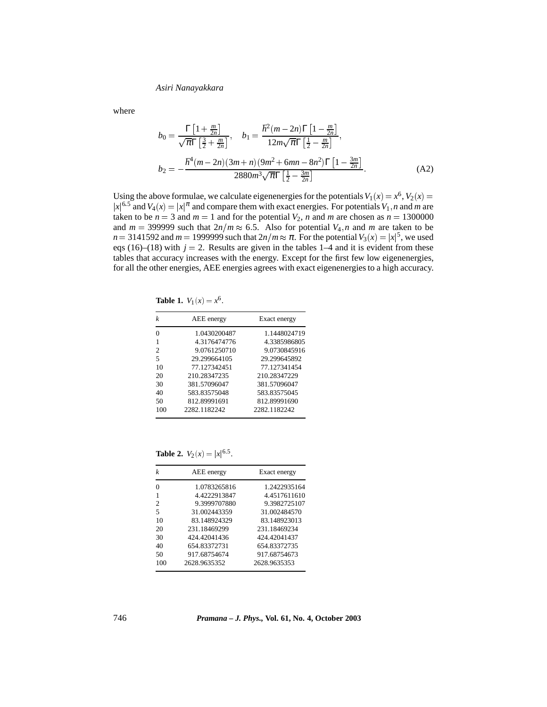where

$$
b_0 = \frac{\Gamma\left[1 + \frac{m}{2n}\right]}{\sqrt{\pi}\Gamma\left[\frac{3}{2} + \frac{m}{2n}\right]}, \quad b_1 = \frac{\hbar^2(m - 2n)\Gamma\left[1 - \frac{m}{2n}\right]}{12m\sqrt{\pi}\Gamma\left[\frac{1}{2} - \frac{m}{2n}\right]},
$$
  

$$
b_2 = -\frac{\hbar^4(m - 2n)(3m + n)(9m^2 + 6mn - 8n^2)\Gamma\left[1 - \frac{3m}{2n}\right]}{2880m^3\sqrt{\pi}\Gamma\left[\frac{1}{2} - \frac{3m}{2n}\right]}.
$$
 (A2)

Using the above formulae, we calculate eigenenergies for the potentials  $V_1(x) = x^6$ ,  $V_2(x) = x^6$  $|x|^{6.5}$  and  $V_4(x) = |x|^{\pi}$  and compare them with exact energies. For potentials  $V_1$ , *n* and *m* are taken to be  $n = 3$  and  $m = 1$  and for the potential  $V_2$ ,  $n$  and  $m$  are chosen as  $n = 1300000$ and  $m = 399999$  such that  $2n/m \approx 6.5$ . Also for potential  $V_4$ , *n* and *m* are taken to be  $n = 3141592$  and  $m = 1999999$  such that  $2n/m \approx \pi$ . For the potential  $V_3(x) = |x|^5$ , we used eqs (16)–(18) with  $j = 2$ . Results are given in the tables 1–4 and it is evident from these tables that accuracy increases with the energy. Except for the first few low eigenenergies, for all the other energies, AEE energies agrees with exact eigenenergies to a high accuracy.

**Table 1.**  $V_1(x) = x^6$ .

| k   | AEE energy   | Exact energy |
|-----|--------------|--------------|
| 0   | 1.0430200487 | 1.1448024719 |
| 1   | 4.3176474776 | 4.3385986805 |
| 2   | 9.0761250710 | 9.0730845916 |
| 5   | 29.299664105 | 29.299645892 |
| 10  | 77 127342451 | 77 127341454 |
| 20  | 210 28347235 | 210.28347229 |
| 30  | 381.57096047 | 381.57096047 |
| 40  | 583.83575048 | 583.83575045 |
| 50  | 812.89991691 | 812.89991690 |
| 100 | 2282.1182242 | 2282.1182242 |

**Table 2.**  $V_2(x) = |x|^{6.5}$ .

| k   | AEE energy   | Exact energy |
|-----|--------------|--------------|
| 0   | 1.0783265816 | 1.2422935164 |
| 1   | 4.4222913847 | 4.4517611610 |
| 2   | 9.3999707880 | 9.3982725107 |
| 5   | 31.002443359 | 31.002484570 |
| 10  | 83.148924329 | 83.148923013 |
| 20  | 231.18469299 | 231.18469234 |
| 30  | 424 42041436 | 424 42041437 |
| 40  | 654.83372731 | 654.83372735 |
| 50  | 917.68754674 | 917.68754673 |
| 100 | 2628 9635352 | 2628 9635353 |
|     |              |              |